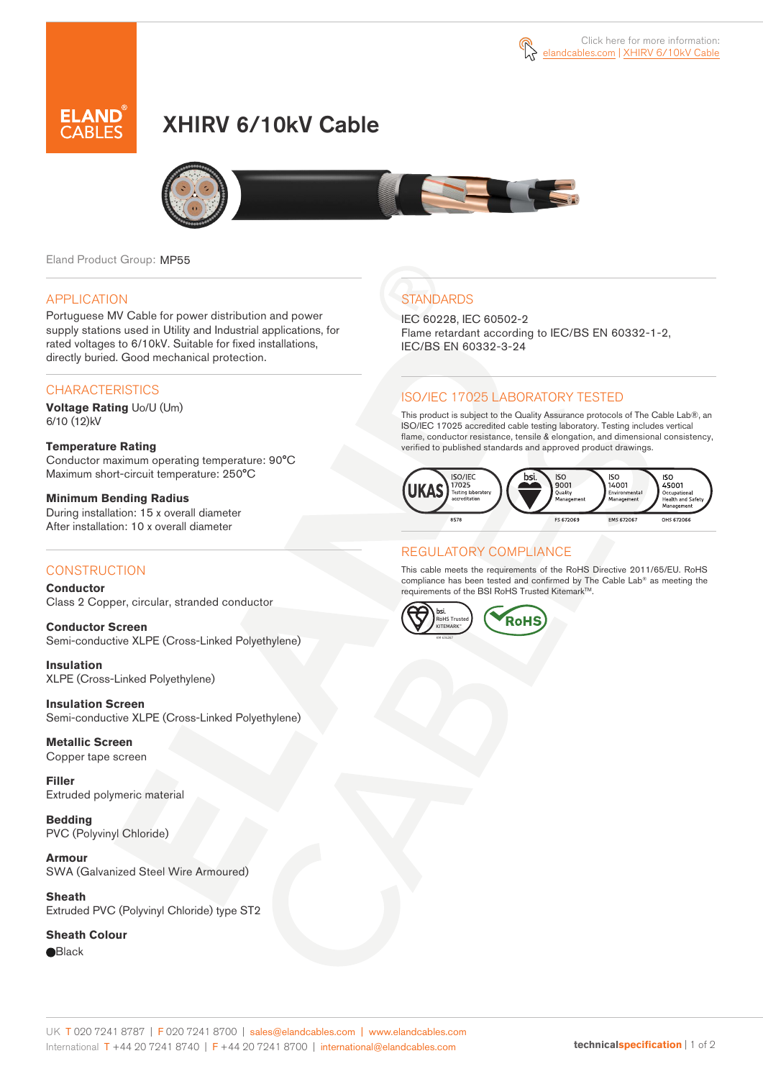# XHIRV 6/10kV Cable



Eland Product Group: MP55

#### APPLICATION

Portuguese MV Cable for power distribution and power supply stations used in Utility and Industrial applications, for rated voltages to 6/10kV. Suitable for fixed installations, directly buried. Good mechanical protection.

### **CHARACTERISTICS**

**Voltage Rating** Uo/U (Um) 6/10 (12)kV

#### **Temperature Rating**  Conductor maximum operating temperature: 90°C Maximum short-circuit temperature: 250°C

**Minimum Bending Radius**  During installation: 15 x overall diameter After installation: 10 x overall diameter

### **CONSTRUCTION**

**Conductor**  Class 2 Copper, circular, stranded conductor

**Conductor Screen** Semi-conductive XLPE (Cross-Linked Polyethylene)

**Insulation** XLPE (Cross-Linked Polyethylene)

**Insulation Screen** Semi-conductive XLPE (Cross-Linked Polyethylene)

**Metallic Screen**  Copper tape screen

**Filler** Extruded polymeric material

**Bedding** PVC (Polyvinyl Chloride)

**Armour** SWA (Galvanized Steel Wire Armoured)

**Sheath** Extruded PVC (Polyvinyl Chloride) type ST2

**Sheath Colour** 

**e**Black

## **STANDARDS**

IEC 60228, IEC 60502-2 Flame retardant according to IEC/BS EN 60332-1-2, IEC/BS EN 60332-3-24

### ISO/IEC 17025 LABORATORY TESTED

This product is subject to the Quality Assurance protocols of The Cable Lab®, an ISO/IEC 17025 accredited cable testing laboratory. Testing includes vertical flame, conductor resistance, tensile & elongation, and dimensional consistency, verified to published standards and approved product drawings.



### REGULATORY COMPLIANCE

This cable meets the requirements of the RoHS Directive 2011/65/EU. RoHS compliance has been tested and confirmed by The Cable Lab® as meeting the requirements of the BSI RoHS Trusted Kitemark™.